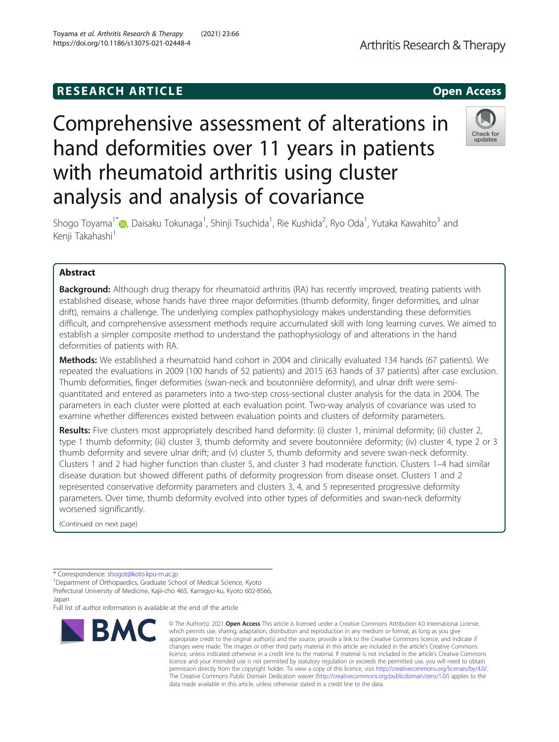# **RESEARCH ARTICLE Example 2018 12:00 Open Access**

# Comprehensive assessment of alterations in hand deformities over 11 years in patients with rheumatoid arthritis using cluster analysis and analysis of covariance

Shogo Toyama<sup>1[\\*](http://orcid.org/0000-0002-8626-604X)</sup>©, Daisaku Tokunaga<sup>1</sup>, Shinji Tsuchida<sup>1</sup>, Rie Kushida<sup>2</sup>, Ryo Oda<sup>1</sup>, Yutaka Kawahito<sup>3</sup> and Kenii Takahashi<sup>1</sup>

# Abstract

**Background:** Although drug therapy for rheumatoid arthritis (RA) has recently improved, treating patients with established disease, whose hands have three major deformities (thumb deformity, finger deformities, and ulnar drift), remains a challenge. The underlying complex pathophysiology makes understanding these deformities difficult, and comprehensive assessment methods require accumulated skill with long learning curves. We aimed to establish a simpler composite method to understand the pathophysiology of and alterations in the hand deformities of patients with RA.

Methods: We established a rheumatoid hand cohort in 2004 and clinically evaluated 134 hands (67 patients). We repeated the evaluations in 2009 (100 hands of 52 patients) and 2015 (63 hands of 37 patients) after case exclusion. Thumb deformities, finger deformities (swan-neck and boutonnière deformity), and ulnar drift were semiquantitated and entered as parameters into a two-step cross-sectional cluster analysis for the data in 2004. The parameters in each cluster were plotted at each evaluation point. Two-way analysis of covariance was used to examine whether differences existed between evaluation points and clusters of deformity parameters.

Results: Five clusters most appropriately described hand deformity: (i) cluster 1, minimal deformity; (ii) cluster 2, type 1 thumb deformity; (iii) cluster 3, thumb deformity and severe boutonnière deformity; (iv) cluster 4, type 2 or 3 thumb deformity and severe ulnar drift; and (v) cluster 5, thumb deformity and severe swan-neck deformity. Clusters 1 and 2 had higher function than cluster 5, and cluster 3 had moderate function. Clusters 1–4 had similar disease duration but showed different paths of deformity progression from disease onset. Clusters 1 and 2 represented conservative deformity parameters and clusters 3, 4, and 5 represented progressive deformity parameters. Over time, thumb deformity evolved into other types of deformities and swan-neck deformity worsened significantly.

(Continued on next page)

BMC

Full list of author information is available at the end of the article

#### © The Author(s), 2021 **Open Access** This article is licensed under a Creative Commons Attribution 4.0 International License, which permits use, sharing, adaptation, distribution and reproduction in any medium or format, as long as you give appropriate credit to the original author(s) and the source, provide a link to the Creative Commons licence, and indicate if changes were made. The images or other third party material in this article are included in the article's Creative Commons licence, unless indicated otherwise in a credit line to the material. If material is not included in the article's Creative Commons licence and your intended use is not permitted by statutory regulation or exceeds the permitted use, you will need to obtain permission directly from the copyright holder. To view a copy of this licence, visit [http://creativecommons.org/licenses/by/4.0/.](http://creativecommons.org/licenses/by/4.0/) The Creative Commons Public Domain Dedication waiver [\(http://creativecommons.org/publicdomain/zero/1.0/](http://creativecommons.org/publicdomain/zero/1.0/)) applies to the data made available in this article, unless otherwise stated in a credit line to the data.





Check for undates

<sup>\*</sup> Correspondence: [shogot@koto.kpu-m.ac.jp](mailto:shogot@koto.kpu-m.ac.jp) <sup>1</sup>

<sup>&</sup>lt;sup>1</sup>Department of Orthopaedics, Graduate School of Medical Science, Kyoto Prefectural University of Medicine, Kajii-cho 465, Kamigyo-ku, Kyoto 602-8566, Japan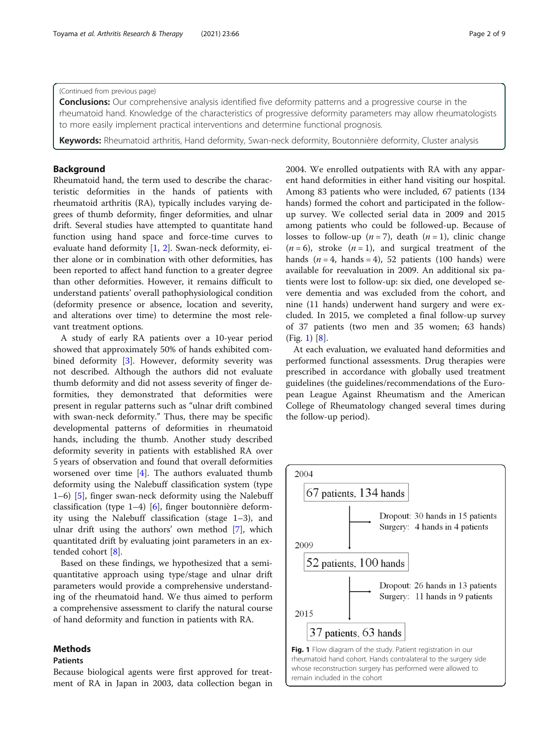#### (Continued from previous page)

**Conclusions:** Our comprehensive analysis identified five deformity patterns and a progressive course in the rheumatoid hand. Knowledge of the characteristics of progressive deformity parameters may allow rheumatologists to more easily implement practical interventions and determine functional prognosis.

Keywords: Rheumatoid arthritis, Hand deformity, Swan-neck deformity, Boutonnière deformity, Cluster analysis

# **Background**

Rheumatoid hand, the term used to describe the characteristic deformities in the hands of patients with rheumatoid arthritis (RA), typically includes varying degrees of thumb deformity, finger deformities, and ulnar drift. Several studies have attempted to quantitate hand function using hand space and force-time curves to evaluate hand deformity [\[1,](#page-8-0) [2](#page-8-0)]. Swan-neck deformity, either alone or in combination with other deformities, has been reported to affect hand function to a greater degree than other deformities. However, it remains difficult to understand patients' overall pathophysiological condition (deformity presence or absence, location and severity, and alterations over time) to determine the most relevant treatment options.

A study of early RA patients over a 10-year period showed that approximately 50% of hands exhibited combined deformity [[3](#page-8-0)]. However, deformity severity was not described. Although the authors did not evaluate thumb deformity and did not assess severity of finger deformities, they demonstrated that deformities were present in regular patterns such as "ulnar drift combined with swan-neck deformity." Thus, there may be specific developmental patterns of deformities in rheumatoid hands, including the thumb. Another study described deformity severity in patients with established RA over 5 years of observation and found that overall deformities worsened over time [[4\]](#page-8-0). The authors evaluated thumb deformity using the Nalebuff classification system (type 1–6) [\[5](#page-8-0)], finger swan-neck deformity using the Nalebuff classification (type  $1-4$ ) [[6](#page-8-0)], finger boutonnière deformity using the Nalebuff classification (stage 1–3), and ulnar drift using the authors' own method [[7\]](#page-8-0), which quantitated drift by evaluating joint parameters in an extended cohort [\[8](#page-8-0)].

Based on these findings, we hypothesized that a semiquantitative approach using type/stage and ulnar drift parameters would provide a comprehensive understanding of the rheumatoid hand. We thus aimed to perform a comprehensive assessment to clarify the natural course of hand deformity and function in patients with RA.

# Methods

# Patients

Because biological agents were first approved for treatment of RA in Japan in 2003, data collection began in 2004. We enrolled outpatients with RA with any apparent hand deformities in either hand visiting our hospital. Among 83 patients who were included, 67 patients (134 hands) formed the cohort and participated in the followup survey. We collected serial data in 2009 and 2015 among patients who could be followed-up. Because of losses to follow-up  $(n=7)$ , death  $(n=1)$ , clinic change  $(n = 6)$ , stroke  $(n = 1)$ , and surgical treatment of the hands  $(n = 4, \text{ hands} = 4), 52 \text{ patients} (100 \text{ hands}) \text{ were}$ available for reevaluation in 2009. An additional six patients were lost to follow-up: six died, one developed severe dementia and was excluded from the cohort, and nine (11 hands) underwent hand surgery and were excluded. In 2015, we completed a final follow-up survey of 37 patients (two men and 35 women; 63 hands) (Fig. 1) [[8](#page-8-0)].

At each evaluation, we evaluated hand deformities and performed functional assessments. Drug therapies were prescribed in accordance with globally used treatment guidelines (the guidelines/recommendations of the European League Against Rheumatism and the American College of Rheumatology changed several times during the follow-up period).

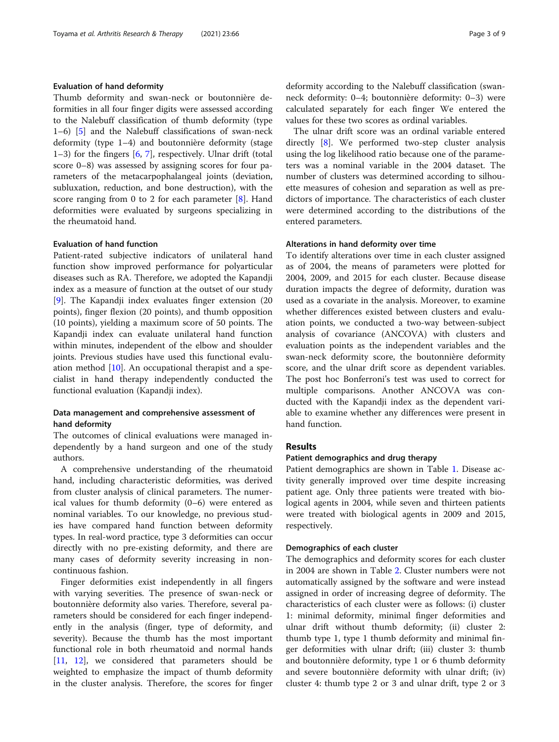# Evaluation of hand deformity

Thumb deformity and swan-neck or boutonnière deformities in all four finger digits were assessed according to the Nalebuff classification of thumb deformity (type 1–6) [[5\]](#page-8-0) and the Nalebuff classifications of swan-neck deformity (type 1–4) and boutonnière deformity (stage 1–3) for the fingers [\[6](#page-8-0), [7\]](#page-8-0), respectively. Ulnar drift (total score 0–8) was assessed by assigning scores for four parameters of the metacarpophalangeal joints (deviation, subluxation, reduction, and bone destruction), with the score ranging from 0 to 2 for each parameter [\[8](#page-8-0)]. Hand deformities were evaluated by surgeons specializing in the rheumatoid hand.

# Evaluation of hand function

Patient-rated subjective indicators of unilateral hand function show improved performance for polyarticular diseases such as RA. Therefore, we adopted the Kapandji index as a measure of function at the outset of our study [[9\]](#page-8-0). The Kapandji index evaluates finger extension (20 points), finger flexion (20 points), and thumb opposition (10 points), yielding a maximum score of 50 points. The Kapandji index can evaluate unilateral hand function within minutes, independent of the elbow and shoulder joints. Previous studies have used this functional evaluation method [[10](#page-8-0)]. An occupational therapist and a specialist in hand therapy independently conducted the functional evaluation (Kapandji index).

# Data management and comprehensive assessment of hand deformity

The outcomes of clinical evaluations were managed independently by a hand surgeon and one of the study authors.

A comprehensive understanding of the rheumatoid hand, including characteristic deformities, was derived from cluster analysis of clinical parameters. The numerical values for thumb deformity (0–6) were entered as nominal variables. To our knowledge, no previous studies have compared hand function between deformity types. In real-word practice, type 3 deformities can occur directly with no pre-existing deformity, and there are many cases of deformity severity increasing in noncontinuous fashion.

Finger deformities exist independently in all fingers with varying severities. The presence of swan-neck or boutonnière deformity also varies. Therefore, several parameters should be considered for each finger independently in the analysis (finger, type of deformity, and severity). Because the thumb has the most important functional role in both rheumatoid and normal hands [[11,](#page-8-0) [12\]](#page-8-0), we considered that parameters should be weighted to emphasize the impact of thumb deformity in the cluster analysis. Therefore, the scores for finger deformity according to the Nalebuff classification (swanneck deformity: 0–4; boutonnière deformity: 0–3) were calculated separately for each finger We entered the values for these two scores as ordinal variables.

The ulnar drift score was an ordinal variable entered directly [[8\]](#page-8-0). We performed two-step cluster analysis using the log likelihood ratio because one of the parameters was a nominal variable in the 2004 dataset. The number of clusters was determined according to silhouette measures of cohesion and separation as well as predictors of importance. The characteristics of each cluster were determined according to the distributions of the entered parameters.

#### Alterations in hand deformity over time

To identify alterations over time in each cluster assigned as of 2004, the means of parameters were plotted for 2004, 2009, and 2015 for each cluster. Because disease duration impacts the degree of deformity, duration was used as a covariate in the analysis. Moreover, to examine whether differences existed between clusters and evaluation points, we conducted a two-way between-subject analysis of covariance (ANCOVA) with clusters and evaluation points as the independent variables and the swan-neck deformity score, the boutonnière deformity score, and the ulnar drift score as dependent variables. The post hoc Bonferroni's test was used to correct for multiple comparisons. Another ANCOVA was conducted with the Kapandji index as the dependent variable to examine whether any differences were present in hand function.

# Results

#### Patient demographics and drug therapy

Patient demographics are shown in Table [1](#page-3-0). Disease activity generally improved over time despite increasing patient age. Only three patients were treated with biological agents in 2004, while seven and thirteen patients were treated with biological agents in 2009 and 2015, respectively.

## Demographics of each cluster

The demographics and deformity scores for each cluster in 2004 are shown in Table [2.](#page-3-0) Cluster numbers were not automatically assigned by the software and were instead assigned in order of increasing degree of deformity. The characteristics of each cluster were as follows: (i) cluster 1: minimal deformity, minimal finger deformities and ulnar drift without thumb deformity; (ii) cluster 2: thumb type 1, type 1 thumb deformity and minimal finger deformities with ulnar drift; (iii) cluster 3: thumb and boutonnière deformity, type 1 or 6 thumb deformity and severe boutonnière deformity with ulnar drift; (iv) cluster 4: thumb type 2 or 3 and ulnar drift, type 2 or 3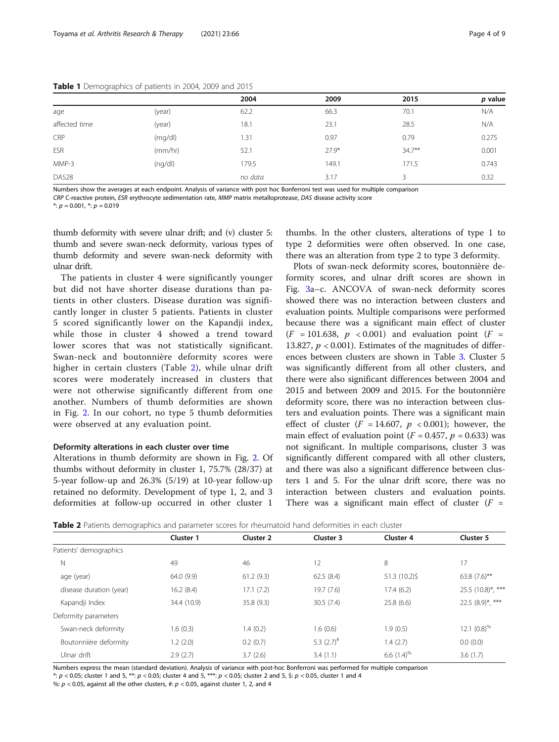|                   |         | 2004    | 2009    | 2015      | p value |
|-------------------|---------|---------|---------|-----------|---------|
| age               | (year)  | 62.2    | 66.3    | 70.1      | N/A     |
| affected time     | (year)  | 18.1    | 23.1    | 28.5      | N/A     |
| CRP               | (mq/dl) | 1.31    | 0.97    | 0.79      | 0.275   |
| ESR               | (mm/hr) | 52.1    | $27.9*$ | $34.7***$ | 0.001   |
| MMP-3             | (nq/d)  | 179.5   | 149.1   | 171.5     | 0.743   |
| DAS <sub>28</sub> |         | no data | 3.17    | 3         | 0.32    |

<span id="page-3-0"></span>Table 1 Demographics of patients in 2004, 2009 and 2015

Numbers show the averages at each endpoint. Analysis of variance with post hoc Bonferroni test was used for multiple comparison

CRP C-reactive protein, ESR erythrocyte sedimentation rate, MMP matrix metalloprotease, DAS disease activity score

 $*: p = 0.001, *: p = 0.019$ 

thumb deformity with severe ulnar drift; and (v) cluster 5: thumb and severe swan-neck deformity, various types of thumb deformity and severe swan-neck deformity with ulnar drift.

The patients in cluster 4 were significantly younger but did not have shorter disease durations than patients in other clusters. Disease duration was significantly longer in cluster 5 patients. Patients in cluster 5 scored significantly lower on the Kapandji index, while those in cluster 4 showed a trend toward lower scores that was not statistically significant. Swan-neck and boutonnière deformity scores were higher in certain clusters (Table 2), while ulnar drift scores were moderately increased in clusters that were not otherwise significantly different from one another. Numbers of thumb deformities are shown in Fig. [2](#page-4-0). In our cohort, no type 5 thumb deformities were observed at any evaluation point.

#### Deformity alterations in each cluster over time

Alterations in thumb deformity are shown in Fig. [2.](#page-4-0) Of thumbs without deformity in cluster 1, 75.7% (28/37) at 5-year follow-up and 26.3% (5/19) at 10-year follow-up retained no deformity. Development of type 1, 2, and 3 deformities at follow-up occurred in other cluster 1 thumbs. In the other clusters, alterations of type 1 to type 2 deformities were often observed. In one case, there was an alteration from type 2 to type 3 deformity.

Plots of swan-neck deformity scores, boutonnière deformity scores, and ulnar drift scores are shown in Fig. [3a](#page-5-0)–c. ANCOVA of swan-neck deformity scores showed there was no interaction between clusters and evaluation points. Multiple comparisons were performed because there was a significant main effect of cluster  $(F = 101.638, p < 0.001)$  and evaluation point  $(F =$ 13.827,  $p < 0.001$ ). Estimates of the magnitudes of differences between clusters are shown in Table [3](#page-6-0). Cluster 5 was significantly different from all other clusters, and there were also significant differences between 2004 and 2015 and between 2009 and 2015. For the boutonnière deformity score, there was no interaction between clusters and evaluation points. There was a significant main effect of cluster ( $F = 14.607$ ,  $p < 0.001$ ); however, the main effect of evaluation point ( $F = 0.457$ ,  $p = 0.633$ ) was not significant. In multiple comparisons, cluster 3 was significantly different compared with all other clusters, and there was also a significant difference between clusters 1 and 5. For the ulnar drift score, there was no interaction between clusters and evaluation points. There was a significant main effect of cluster  $(F =$ 

Table 2 Patients demographics and parameter scores for rheumatoid hand deformities in each cluster

|                         | Cluster 1   | Cluster 2 | Cluster 3        | Cluster 4        | Cluster 5             |
|-------------------------|-------------|-----------|------------------|------------------|-----------------------|
| Patients' demographics  |             |           |                  |                  |                       |
| N                       | 49          | 46        | 12               | 8                | 17                    |
| age (year)              | 64.0 (9.9)  | 61.2(9.3) | 62.5(8.4)        | $51.3(10.2)$ \$  | 63.8 $(7.6)$ **       |
| disease duration (year) | 16.2(8.4)   | 17.1(7.2) | 19.7(7.6)        | 17.4(6.2)        | 25.5 (10.8)*, ***     |
| Kapandji Index          | 34.4 (10.9) | 35.8(9.3) | 30.5(7.4)        | 25.8(6.6)        | $22.5(8.9)^{*}$ , *** |
| Deformity parameters    |             |           |                  |                  |                       |
| Swan-neck deformity     | 1.6(0.3)    | 1.4(0.2)  | 1.6(0.6)         | 1.9(0.5)         | 12.1 $(0.8)^{\%}$     |
| Boutonnière deformity   | 1.2(2.0)    | 0.2(0.7)  | 5.3 $(2.7)^{\#}$ | 1.4(2.7)         | 0.0(0.0)              |
| Ulnar drift             | 2.9(2.7)    | 3.7(2.6)  | 3.4(1.1)         | 6.6 $(1.4)^{\%}$ | 3.6(1.7)              |

Numbers express the mean (standard deviation). Analysis of variance with post-hoc Bonferroni was performed for multiple comparison \*:  $p$  < 0.05; cluster 1 and 5, \*\*:  $p$  < 0.05; cluster 4 and 5, \*\*\*:  $p$  < 0.05; cluster 2 and 5, \$:  $p$  < 0.05, cluster 1 and 4

%:  $p < 0.05$ , against all the other clusters, #:  $p < 0.05$ , against cluster 1, 2, and 4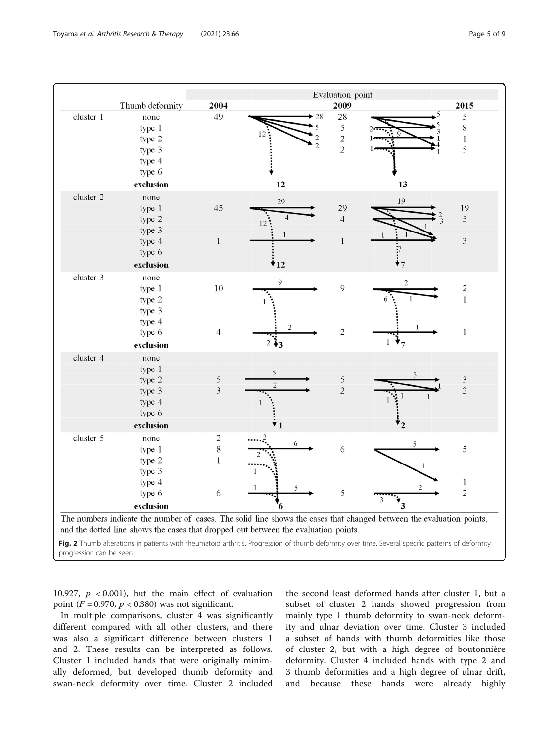<span id="page-4-0"></span>

Fig. 2 Thumb alterations in patients with rheumatoid arthritis. Progression of thumb deformity over time. Several specific patterns of deformity progression can be seen

10.927,  $p \leq 0.001$ ), but the main effect of evaluation point ( $F = 0.970$ ,  $p < 0.380$ ) was not significant.

In multiple comparisons, cluster 4 was significantly different compared with all other clusters, and there was also a significant difference between clusters 1 and 2. These results can be interpreted as follows. Cluster 1 included hands that were originally minimally deformed, but developed thumb deformity and swan-neck deformity over time. Cluster 2 included

the second least deformed hands after cluster 1, but a subset of cluster 2 hands showed progression from mainly type 1 thumb deformity to swan-neck deformity and ulnar deviation over time. Cluster 3 included a subset of hands with thumb deformities like those of cluster 2, but with a high degree of boutonnière deformity. Cluster 4 included hands with type 2 and 3 thumb deformities and a high degree of ulnar drift, and because these hands were already highly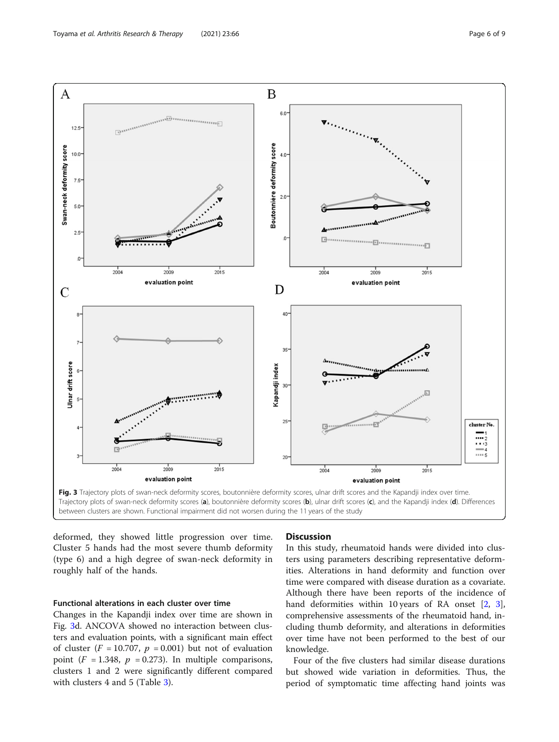<span id="page-5-0"></span>

deformed, they showed little progression over time. Cluster 5 hands had the most severe thumb deformity (type 6) and a high degree of swan-neck deformity in roughly half of the hands.

# Functional alterations in each cluster over time

Changes in the Kapandji index over time are shown in Fig. 3d. ANCOVA showed no interaction between clusters and evaluation points, with a significant main effect of cluster ( $F = 10.707$ ,  $p = 0.001$ ) but not of evaluation point ( $F = 1.348$ ,  $p = 0.273$ ). In multiple comparisons, clusters 1 and 2 were significantly different compared with clusters 4 and 5 (Table [3](#page-6-0)).

## **Discussion**

In this study, rheumatoid hands were divided into clusters using parameters describing representative deformities. Alterations in hand deformity and function over time were compared with disease duration as a covariate. Although there have been reports of the incidence of hand deformities within 10 years of RA onset [[2](#page-8-0), [3](#page-8-0)], comprehensive assessments of the rheumatoid hand, including thumb deformity, and alterations in deformities over time have not been performed to the best of our knowledge.

Four of the five clusters had similar disease durations but showed wide variation in deformities. Thus, the period of symptomatic time affecting hand joints was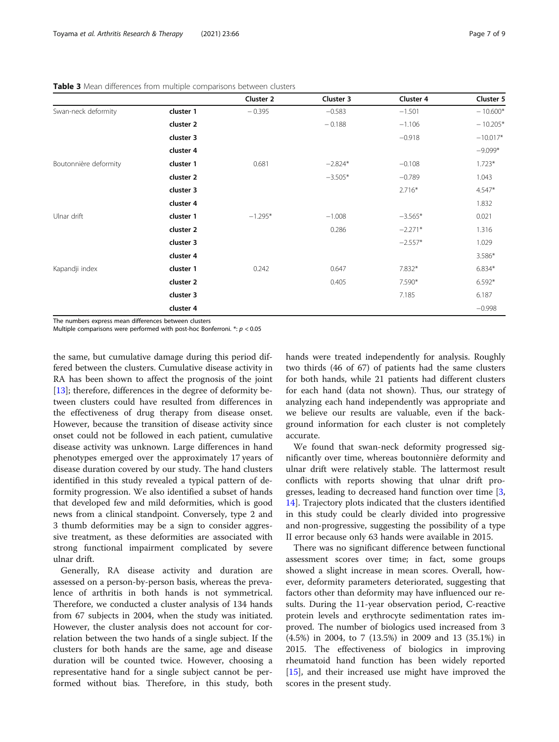|                       |           | Cluster 2 | Cluster 3 | Cluster 4 | Cluster 5  |
|-----------------------|-----------|-----------|-----------|-----------|------------|
| Swan-neck deformity   | cluster 1 | $-0.395$  | $-0.583$  | $-1.501$  | $-10.600*$ |
|                       | cluster 2 |           | $-0.188$  | $-1.106$  | $-10.205*$ |
|                       | cluster 3 |           |           | $-0.918$  | $-10.017*$ |
|                       | cluster 4 |           |           |           | $-9.099*$  |
| Boutonnière deformity | cluster 1 | 0.681     | $-2.824*$ | $-0.108$  | $1.723*$   |
|                       | cluster 2 |           | $-3.505*$ | $-0.789$  | 1.043      |
|                       | cluster 3 |           |           | $2.716*$  | $4.547*$   |
|                       | cluster 4 |           |           |           | 1.832      |
| Ulnar drift           | cluster 1 | $-1.295*$ | $-1.008$  | $-3.565*$ | 0.021      |
|                       | cluster 2 |           | 0.286     | $-2.271*$ | 1.316      |
|                       | cluster 3 |           |           | $-2.557*$ | 1.029      |
|                       | cluster 4 |           |           |           | 3.586*     |
| Kapandji index        | cluster 1 | 0.242     | 0.647     | 7.832*    | $6.834*$   |
|                       | cluster 2 |           | 0.405     | 7.590*    | $6.592*$   |
|                       | cluster 3 |           |           | 7.185     | 6.187      |
|                       | cluster 4 |           |           |           | $-0.998$   |

<span id="page-6-0"></span>Table 3 Mean differences from multiple comparisons between clusters

The numbers express mean differences between clusters

Multiple comparisons were performed with post-hoc Bonferroni.  $*$ :  $p < 0.05$ 

the same, but cumulative damage during this period differed between the clusters. Cumulative disease activity in RA has been shown to affect the prognosis of the joint [[13\]](#page-8-0); therefore, differences in the degree of deformity between clusters could have resulted from differences in the effectiveness of drug therapy from disease onset. However, because the transition of disease activity since onset could not be followed in each patient, cumulative disease activity was unknown. Large differences in hand phenotypes emerged over the approximately 17 years of disease duration covered by our study. The hand clusters identified in this study revealed a typical pattern of deformity progression. We also identified a subset of hands that developed few and mild deformities, which is good news from a clinical standpoint. Conversely, type 2 and 3 thumb deformities may be a sign to consider aggressive treatment, as these deformities are associated with strong functional impairment complicated by severe ulnar drift.

Generally, RA disease activity and duration are assessed on a person-by-person basis, whereas the prevalence of arthritis in both hands is not symmetrical. Therefore, we conducted a cluster analysis of 134 hands from 67 subjects in 2004, when the study was initiated. However, the cluster analysis does not account for correlation between the two hands of a single subject. If the clusters for both hands are the same, age and disease duration will be counted twice. However, choosing a representative hand for a single subject cannot be performed without bias. Therefore, in this study, both hands were treated independently for analysis. Roughly two thirds (46 of 67) of patients had the same clusters for both hands, while 21 patients had different clusters for each hand (data not shown). Thus, our strategy of analyzing each hand independently was appropriate and we believe our results are valuable, even if the background information for each cluster is not completely accurate.

We found that swan-neck deformity progressed significantly over time, whereas boutonnière deformity and ulnar drift were relatively stable. The lattermost result conflicts with reports showing that ulnar drift progresses, leading to decreased hand function over time [\[3](#page-8-0), [14\]](#page-8-0). Trajectory plots indicated that the clusters identified in this study could be clearly divided into progressive and non-progressive, suggesting the possibility of a type II error because only 63 hands were available in 2015.

There was no significant difference between functional assessment scores over time; in fact, some groups showed a slight increase in mean scores. Overall, however, deformity parameters deteriorated, suggesting that factors other than deformity may have influenced our results. During the 11-year observation period, C-reactive protein levels and erythrocyte sedimentation rates improved. The number of biologics used increased from 3 (4.5%) in 2004, to 7 (13.5%) in 2009 and 13 (35.1%) in 2015. The effectiveness of biologics in improving rheumatoid hand function has been widely reported [[15\]](#page-8-0), and their increased use might have improved the scores in the present study.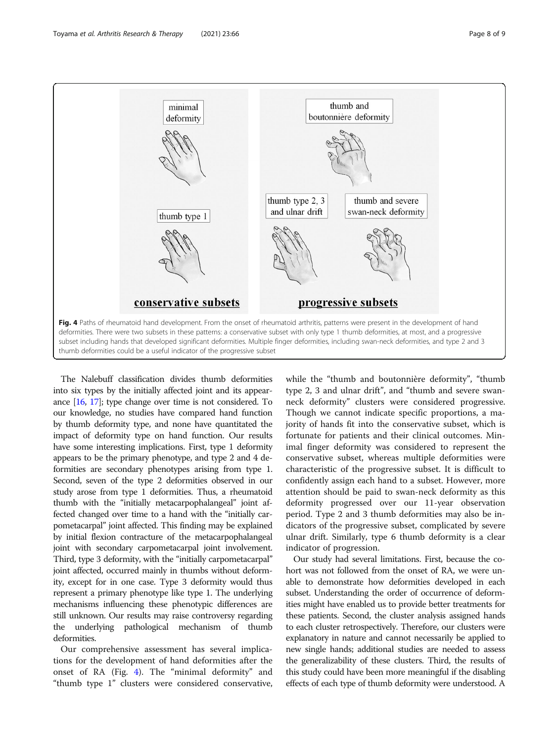

The Nalebuff classification divides thumb deformities into six types by the initially affected joint and its appearance [\[16](#page-8-0), [17](#page-8-0)]; type change over time is not considered. To our knowledge, no studies have compared hand function by thumb deformity type, and none have quantitated the impact of deformity type on hand function. Our results have some interesting implications. First, type 1 deformity appears to be the primary phenotype, and type 2 and 4 deformities are secondary phenotypes arising from type 1. Second, seven of the type 2 deformities observed in our study arose from type 1 deformities. Thus, a rheumatoid thumb with the "initially metacarpophalangeal" joint affected changed over time to a hand with the "initially carpometacarpal" joint affected. This finding may be explained by initial flexion contracture of the metacarpophalangeal joint with secondary carpometacarpal joint involvement. Third, type 3 deformity, with the "initially carpometacarpal" joint affected, occurred mainly in thumbs without deformity, except for in one case. Type 3 deformity would thus represent a primary phenotype like type 1. The underlying mechanisms influencing these phenotypic differences are still unknown. Our results may raise controversy regarding the underlying pathological mechanism of thumb deformities.

Our comprehensive assessment has several implications for the development of hand deformities after the onset of RA (Fig. 4). The "minimal deformity" and "thumb type 1" clusters were considered conservative,

while the "thumb and boutonnière deformity", "thumb type 2, 3 and ulnar drift", and "thumb and severe swanneck deformity" clusters were considered progressive. Though we cannot indicate specific proportions, a majority of hands fit into the conservative subset, which is fortunate for patients and their clinical outcomes. Minimal finger deformity was considered to represent the conservative subset, whereas multiple deformities were characteristic of the progressive subset. It is difficult to confidently assign each hand to a subset. However, more attention should be paid to swan-neck deformity as this deformity progressed over our 11-year observation period. Type 2 and 3 thumb deformities may also be indicators of the progressive subset, complicated by severe ulnar drift. Similarly, type 6 thumb deformity is a clear indicator of progression.

Our study had several limitations. First, because the cohort was not followed from the onset of RA, we were unable to demonstrate how deformities developed in each subset. Understanding the order of occurrence of deformities might have enabled us to provide better treatments for these patients. Second, the cluster analysis assigned hands to each cluster retrospectively. Therefore, our clusters were explanatory in nature and cannot necessarily be applied to new single hands; additional studies are needed to assess the generalizability of these clusters. Third, the results of this study could have been more meaningful if the disabling effects of each type of thumb deformity were understood. A